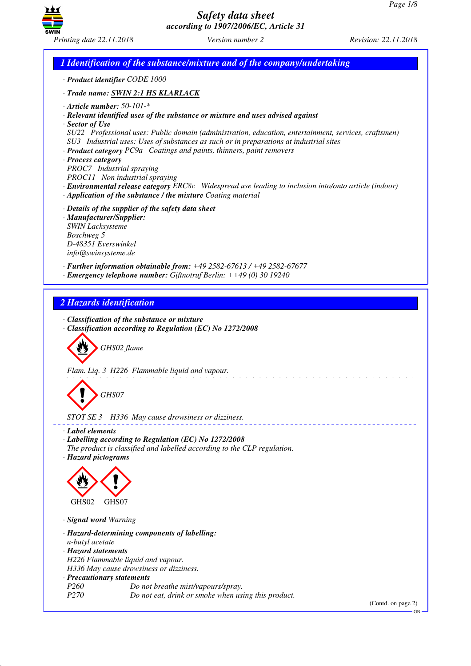



GB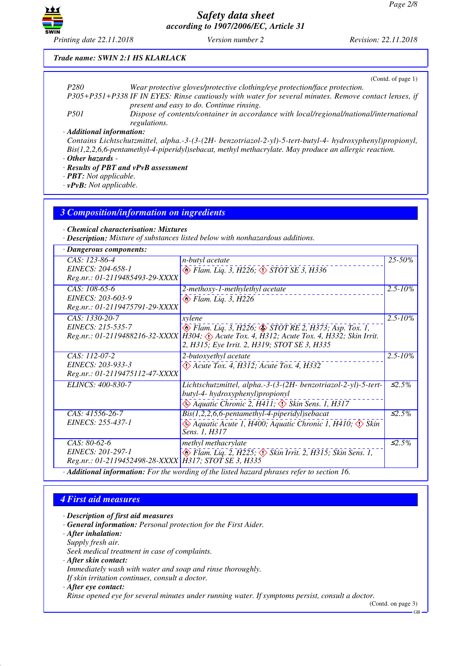

*Printing date 22.11.2018 Version number 2 Revision: 22.11.2018*

### *Trade name: SWIN 2:1 HS KLARLACK*

|                           | (Contd. of page 1)                                                                                        |
|---------------------------|-----------------------------------------------------------------------------------------------------------|
| P <sub>280</sub>          | Wear protective gloves/protective clothing/eye protection/face protection.                                |
|                           | P305+P351+P338 IF IN EYES: Rinse cautiously with water for several minutes. Remove contact lenses, if     |
|                           | present and easy to do. Continue rinsing.                                                                 |
| <i>P501</i>               | Dispose of contents/container in accordance with local/regional/national/international                    |
|                           | regulations.                                                                                              |
| · Additional information: |                                                                                                           |
|                           | Contains Lichtschutzmittel, alpha.-3-(3-(2H- benzotriazol-2-yl)-5-tert-butyl-4- hydroxyphenyl)propionyl,  |
|                           | $Bis(1,2,2,6,6-pentamentlyl-4-piperidyl) sebacat, methyl methacrylate. May produce an allergic reaction.$ |

## *· Other hazards -*

*· Results of PBT and vPvB assessment*

*· PBT: Not applicable.*

*· vPvB: Not applicable.*

### *3 Composition/information on ingredients*

*· Chemical characterisation: Mixtures*

*· Description: Mixture of substances listed below with nonhazardous additions.*

| · Dangerous components:                              |                                                                                              |              |  |  |
|------------------------------------------------------|----------------------------------------------------------------------------------------------|--------------|--|--|
| $CAS: 123-86-4$                                      | <i>n-butyl</i> acetate                                                                       | $25 - 50\%$  |  |  |
| EINECS: 204-658-1                                    | $\otimes$ Flam. Liq. 3, H226, $\otimes$ STOT SE 3, H336                                      |              |  |  |
| Reg.nr.: 01-2119485493-29-XXXX                       |                                                                                              |              |  |  |
| CAS: 108-65-6                                        | 2-methoxy-1-methylethyl acetate                                                              | $2.5 - 10\%$ |  |  |
| EINECS: 203-603-9                                    | $\diamondsuit$ Flam. Liq. 3, H226                                                            |              |  |  |
| Reg.nr.: 01-2119475791-29-XXXX                       |                                                                                              |              |  |  |
| CAS: 1330-20-7                                       | xylene                                                                                       | $2.5 - 10\%$ |  |  |
| EINECS: 215-535-7                                    | $\diamondsuit$ Flam. Liq. 3, H226; $\diamondsuit$ STOT RE 2, H373; Asp. Tox. 1,              |              |  |  |
|                                                      | Reg.nr.: 01-2119488216-32-XXXX H304; (1) Acute Tox. 4, H312; Acute Tox. 4, H332; Skin Irrit. |              |  |  |
|                                                      | 2, H315; Eye Irrit. 2, H319; STOT SE 3, H335                                                 |              |  |  |
| CAS: 112-07-2                                        | 2-butoxyethyl acetate                                                                        | $2.5 - 10\%$ |  |  |
| EINECS: 203-933-3                                    | $\Diamond$ Acute Tox. 4, H312; Acute Tox. 4, H332                                            |              |  |  |
| Reg.nr.: 01-2119475112-47-XXXX                       |                                                                                              |              |  |  |
| ELINCS: 400-830-7                                    | Lichtschutzmittel, alpha.-3-(3-(2H- benzotriazol-2-yl)-5-tert-                               | $\leq 2.5\%$ |  |  |
|                                                      | butyl-4- hydroxyphenyl)propionyl                                                             |              |  |  |
|                                                      | Aquatic Chronic 2, H411; $\Diamond$ Skin Sens. 1, H317                                       |              |  |  |
| CAS: 41556-26-7                                      | Bis(1,2,2,6,6-pentamethyl-4-piperidyl)sebacat                                                | $\leq 2.5\%$ |  |  |
| EINECS: 255-437-1                                    | Aquatic Acute 1, H400; Aquatic Chronic 1, H410; $\langle \rangle$ Skin                       |              |  |  |
|                                                      | Sens. 1, H317                                                                                |              |  |  |
| $CAS: 80-62-6$                                       | methyl methacrylate                                                                          | $\leq 2.5\%$ |  |  |
| EINECS: 201-297-1                                    | $\diamondsuit$ Flam. Liq. 2, H225; $\diamondsuit$ Skin Irrit. 2, H315; Skin Sens. 1,         |              |  |  |
| Reg.nr.: 01-2119452498-28-XXXX H317; STOT SE 3, H335 |                                                                                              |              |  |  |
|                                                      | 0.1 10.11<br>$\mathbf{r}$                                                                    |              |  |  |

*· Additional information: For the wording of the listed hazard phrases refer to section 16.*

### *4 First aid measures*

*· Description of first aid measures*

- *· General information: Personal protection for the First Aider.*
- *· After inhalation:*
- *Supply fresh air.*

*Seek medical treatment in case of complaints.*

- *· After skin contact:*
- *Immediately wash with water and soap and rinse thoroughly. If skin irritation continues, consult a doctor.*
- *· After eye contact:*

*Rinse opened eye for several minutes under running water. If symptoms persist, consult a doctor.*

(Contd. on page 3)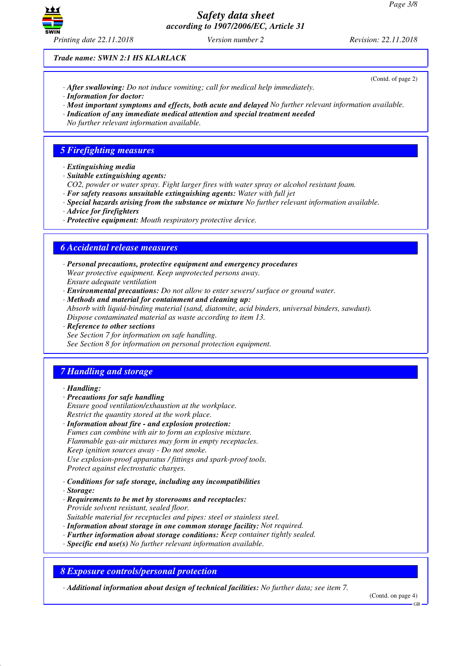

*Trade name: SWIN 2:1 HS KLARLACK*

- *· After swallowing: Do not induce vomiting; call for medical help immediately.*
- *· Information for doctor:*
- *· Most important symptoms and effects, both acute and delayed No further relevant information available.*
- *· Indication of any immediate medical attention and special treatment needed*
- *No further relevant information available.*

## *5 Firefighting measures*

- *· Extinguishing media*
- *· Suitable extinguishing agents:*
- *CO2, powder or water spray. Fight larger fires with water spray or alcohol resistant foam.*
- *· For safety reasons unsuitable extinguishing agents: Water with full jet*
- *· Special hazards arising from the substance or mixture No further relevant information available.*
- *· Advice for firefighters*
- *· Protective equipment: Mouth respiratory protective device.*

### *6 Accidental release measures*

*· Personal precautions, protective equipment and emergency procedures Wear protective equipment. Keep unprotected persons away. Ensure adequate ventilation*

- *· Environmental precautions: Do not allow to enter sewers/ surface or ground water.*
- *· Methods and material for containment and cleaning up: Absorb with liquid-binding material (sand, diatomite, acid binders, universal binders, sawdust). Dispose contaminated material as waste according to item 13.*
- *· Reference to other sections*

*See Section 7 for information on safe handling. See Section 8 for information on personal protection equipment.*

## *7 Handling and storage*

- *· Handling:*
- *· Precautions for safe handling*

*Ensure good ventilation/exhaustion at the workplace. Restrict the quantity stored at the work place.*

- *· Information about fire and explosion protection: Fumes can combine with air to form an explosive mixture. Flammable gas-air mixtures may form in empty receptacles. Keep ignition sources away - Do not smoke. Use explosion-proof apparatus / fittings and spark-proof tools. Protect against electrostatic charges.*
- *· Conditions for safe storage, including any incompatibilities*
- *· Storage:*
- *· Requirements to be met by storerooms and receptacles: Provide solvent resistant, sealed floor. Suitable material for receptacles and pipes: steel or stainless steel.*
- *· Information about storage in one common storage facility: Not required.*
- *· Further information about storage conditions: Keep container tightly sealed.*
- *· Specific end use(s) No further relevant information available.*

*8 Exposure controls/personal protection*

*· Additional information about design of technical facilities: No further data; see item 7.*

(Contd. on page 4)

(Contd. of page 2)

GB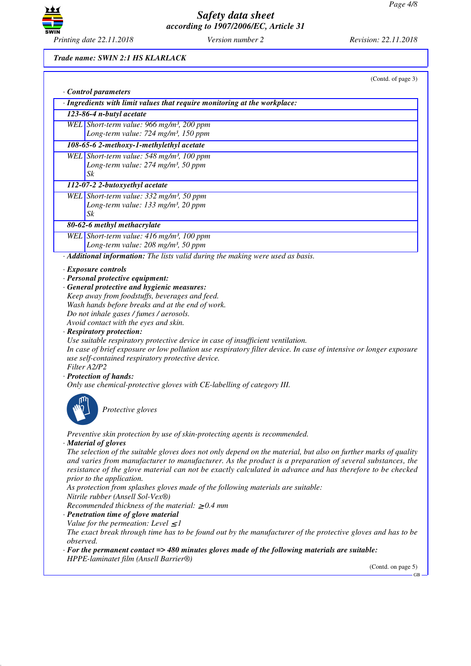

### *Trade name: SWIN 2:1 HS KLARLACK*

|           | Control parameters                                                                                                                             |
|-----------|------------------------------------------------------------------------------------------------------------------------------------------------|
|           | · Ingredients with limit values that require monitoring at the workplace:                                                                      |
|           | 123-86-4 n-butyl acetate                                                                                                                       |
|           | WEL Short-term value: 966 mg/m <sup>3</sup> , 200 ppm<br>Long-term value: 724 mg/m <sup>3</sup> , 150 ppm                                      |
|           | 108-65-6 2-methoxy-1-methylethyl acetate                                                                                                       |
|           | WEL Short-term value: 548 mg/m <sup>3</sup> , 100 ppm                                                                                          |
|           | Long-term value: $274$ mg/m <sup>3</sup> , 50 ppm                                                                                              |
|           | Sk                                                                                                                                             |
|           | 112-07-2 2-butoxyethyl acetate                                                                                                                 |
|           | WEL Short-term value: 332 mg/m <sup>3</sup> , 50 ppm                                                                                           |
|           | Long-term value: 133 mg/m <sup>3</sup> , 20 ppm                                                                                                |
|           | Sk                                                                                                                                             |
|           | 80-62-6 methyl methacrylate                                                                                                                    |
|           | WEL Short-term value: 416 mg/m <sup>3</sup> , 100 ppm                                                                                          |
|           | Long-term value: 208 mg/m <sup>3</sup> , 50 ppm                                                                                                |
|           | · Additional information: The lists valid during the making were used as basis.                                                                |
|           | $\cdot$ Exposure controls                                                                                                                      |
|           | · Personal protective equipment:                                                                                                               |
|           | · General protective and hygienic measures:                                                                                                    |
|           | Keep away from foodstuffs, beverages and feed.                                                                                                 |
|           | Wash hands before breaks and at the end of work.                                                                                               |
|           | Do not inhale gases / fumes / aerosols.<br>Avoid contact with the eyes and skin.                                                               |
|           | · Respiratory protection:                                                                                                                      |
|           | Use suitable respiratory protective device in case of insufficient ventilation.                                                                |
|           | In case of brief exposure or low pollution use respiratory filter device. In case of intensive or longer exposure                              |
|           | use self-contained respiratory protective device.                                                                                              |
|           | Filter A2/P2                                                                                                                                   |
|           | · Protection of hands:                                                                                                                         |
|           | Only use chemical-protective gloves with CE-labelling of category III.                                                                         |
|           |                                                                                                                                                |
|           | Protective gloves                                                                                                                              |
|           |                                                                                                                                                |
|           |                                                                                                                                                |
|           | Preventive skin protection by use of skin-protecting agents is recommended.<br>· Material of gloves                                            |
|           | The selection of the suitable gloves does not only depend on the material, but also on further marks of quality                                |
|           | and varies from manufacturer to manufacturer. As the product is a preparation of several substances, the                                       |
|           | resistance of the glove material can not be exactly calculated in advance and has therefore to be checked                                      |
|           | prior to the application.                                                                                                                      |
|           | As protection from splashes gloves made of the following materials are suitable:                                                               |
|           | Nitrile rubber (Ansell Sol-Vex®)                                                                                                               |
|           | Recommended thickness of the material: $\geq 0.4$ mm                                                                                           |
|           | · Penetration time of glove material                                                                                                           |
|           | Value for the permeation: Level $\leq$ 1                                                                                                       |
|           | The exact break through time has to be found out by the manufacturer of the protective gloves and has to be                                    |
|           |                                                                                                                                                |
| observed. |                                                                                                                                                |
|           | $\cdot$ For the permanent contact => 480 minutes gloves made of the following materials are suitable:<br>HPPE-laminatet film (Ansell Barrier®) |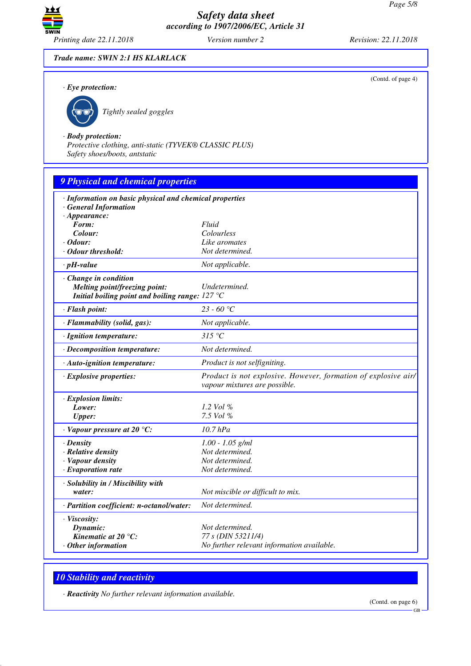

(Contd. of page 4)

*Trade name: SWIN 2:1 HS KLARLACK*

*· Eye protection:*



\_R*Tightly sealed goggles*

*· Body protection:*

*Protective clothing, anti-static (TYVEK® CLASSIC PLUS) Safety shoes/boots, antstatic*

| <b>9 Physical and chemical properties</b>                                        |                                                                                                 |  |  |  |
|----------------------------------------------------------------------------------|-------------------------------------------------------------------------------------------------|--|--|--|
| · Information on basic physical and chemical properties<br>· General Information |                                                                                                 |  |  |  |
| $\cdot$ Appearance:                                                              |                                                                                                 |  |  |  |
| Form:                                                                            | Fluid                                                                                           |  |  |  |
| Colour:                                                                          | Colourless                                                                                      |  |  |  |
| $\cdot$ Odour:                                                                   | Like aromates                                                                                   |  |  |  |
| · Odour threshold:                                                               | Not determined.                                                                                 |  |  |  |
| $\cdot$ pH-value                                                                 | Not applicable.                                                                                 |  |  |  |
| $\cdot$ Change in condition                                                      |                                                                                                 |  |  |  |
| Melting point/freezing point:                                                    | Undetermined.                                                                                   |  |  |  |
| Initial boiling point and boiling range: $127^{\circ}$ C                         |                                                                                                 |  |  |  |
| · Flash point:                                                                   | 23 - 60 °C                                                                                      |  |  |  |
| · Flammability (solid, gas):                                                     | Not applicable.                                                                                 |  |  |  |
| · Ignition temperature:                                                          | 315 °C                                                                                          |  |  |  |
| · Decomposition temperature:                                                     | Not determined.                                                                                 |  |  |  |
| · Auto-ignition temperature:                                                     | Product is not selfigniting.                                                                    |  |  |  |
| · Explosive properties:                                                          | Product is not explosive. However, formation of explosive air/<br>vapour mixtures are possible. |  |  |  |
| $\cdot$ Explosion limits:                                                        |                                                                                                 |  |  |  |
| Lower:                                                                           | 1.2 Vol %                                                                                       |  |  |  |
| <b>Upper:</b>                                                                    | $7.5$ Vol %                                                                                     |  |  |  |
| $\cdot$ Vapour pressure at 20 °C:                                                | $10.7$ $hPa$                                                                                    |  |  |  |
| $\cdot$ Density                                                                  | $1.00 - 1.05$ g/ml                                                                              |  |  |  |
| · Relative density                                                               | Not determined.                                                                                 |  |  |  |
| · Vapour density                                                                 | Not determined.                                                                                 |  |  |  |
| $\cdot$ Evaporation rate                                                         | Not determined.                                                                                 |  |  |  |
| · Solubility in / Miscibility with                                               |                                                                                                 |  |  |  |
| water:                                                                           | Not miscible or difficult to mix.                                                               |  |  |  |
| · Partition coefficient: n-octanol/water:                                        | Not determined.                                                                                 |  |  |  |
| · Viscosity:                                                                     |                                                                                                 |  |  |  |
| Dynamic:                                                                         | Not determined.                                                                                 |  |  |  |
| Kinematic at $20^{\circ}$ C:                                                     | 77 s (DIN 53211/4)                                                                              |  |  |  |
| $·$ Other information                                                            | No further relevant information available.                                                      |  |  |  |

# *10 Stability and reactivity*

*· Reactivity No further relevant information available.*

(Contd. on page 6)

GB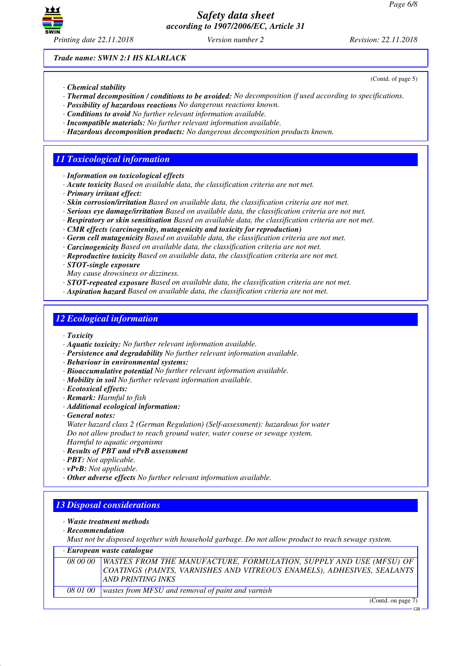

(Contd. of page 5)

*Trade name: SWIN 2:1 HS KLARLACK*

- *· Chemical stability*
- *· Thermal decomposition / conditions to be avoided: No decomposition if used according to specifications.*
- *· Possibility of hazardous reactions No dangerous reactions known.*
- *· Conditions to avoid No further relevant information available.*
- *· Incompatible materials: No further relevant information available.*
- *· Hazardous decomposition products: No dangerous decomposition products known.*

## *11 Toxicological information*

- *· Information on toxicological effects*
- *· Acute toxicity Based on available data, the classification criteria are not met.*
- *· Primary irritant effect:*
- *· Skin corrosion/irritation Based on available data, the classification criteria are not met.*
- *· Serious eye damage/irritation Based on available data, the classification criteria are not met.*
- *· Respiratory or skin sensitisation Based on available data, the classification criteria are not met.*
- *· CMR effects (carcinogenity, mutagenicity and toxicity for reproduction)*
- *· Germ cell mutagenicity Based on available data, the classification criteria are not met.*
- *· Carcinogenicity Based on available data, the classification criteria are not met.*
- *· Reproductive toxicity Based on available data, the classification criteria are not met.*
- *· STOT-single exposure*
- *May cause drowsiness or dizziness.*
- *· STOT-repeated exposure Based on available data, the classification criteria are not met.*
- *· Aspiration hazard Based on available data, the classification criteria are not met.*

### *12 Ecological information*

- *· Toxicity*
- *· Aquatic toxicity: No further relevant information available.*
- *· Persistence and degradability No further relevant information available.*
- *· Behaviour in environmental systems:*
- *· Bioaccumulative potential No further relevant information available.*
- *· Mobility in soil No further relevant information available.*
- *· Ecotoxical effects:*
- *· Remark: Harmful to fish*
- *· Additional ecological information:*
- *· General notes:*
- *Water hazard class 2 (German Regulation) (Self-assessment): hazardous for water Do not allow product to reach ground water, water course or sewage system. Harmful to aquatic organisms*
- *· Results of PBT and vPvB assessment*
- *· PBT: Not applicable.*
- *· vPvB: Not applicable.*
- *· Other adverse effects No further relevant information available.*

## *13 Disposal considerations*

- *· Waste treatment methods*
- *· Recommendation*

*Must not be disposed together with household garbage. Do not allow product to reach sewage system.*

### *· European waste catalogue*

|                 | 08 00 00 WASTES FROM THE MANUFACTURE, FORMULATION, SUPPLY AND USE (MFSU) OF<br>COATINGS (PAINTS, VARNISHES AND VITREOUS ENAMELS), ADHESIVES, SEALANTS<br>AND PRINTING INKS |
|-----------------|----------------------------------------------------------------------------------------------------------------------------------------------------------------------------|
| <i>08 01 00</i> | wastes from MFSU and removal of paint and varnish                                                                                                                          |
|                 | $-$<br>$\sim$                                                                                                                                                              |

(Contd. on page 7)

GB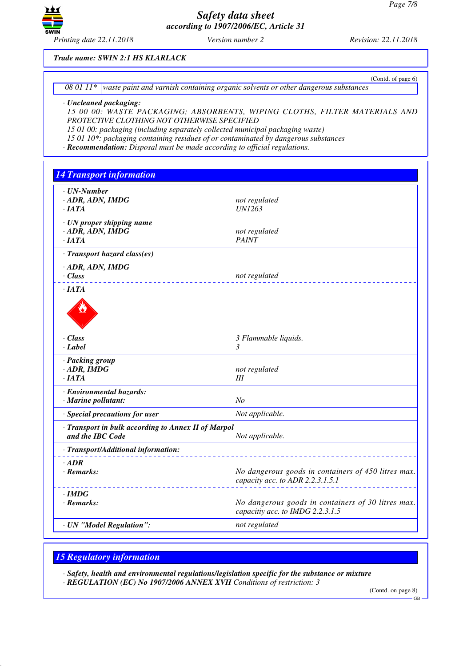

(Contd. of page 6)

### *Trade name: SWIN 2:1 HS KLARLACK*

*08 01 11\* waste paint and varnish containing organic solvents or other dangerous substances*

#### *· Uncleaned packaging:*

*15 00 00: WASTE PACKAGING; ABSORBENTS, WIPING CLOTHS, FILTER MATERIALS AND PROTECTIVE CLOTHING NOT OTHERWISE SPECIFIED*

*15 01 00: packaging (including separately collected municipal packaging waste)*

*15 01 10\*: packaging containing residues of or contaminated by dangerous substances*

*· Recommendation: Disposal must be made according to official regulations.*

| <b>14 Transport information</b>                                         |                                                                                         |
|-------------------------------------------------------------------------|-----------------------------------------------------------------------------------------|
| $\cdot$ UN-Number<br>· ADR, ADN, IMDG<br>·IATA                          | not regulated<br><b>UN1263</b>                                                          |
| · UN proper shipping name<br>$\cdot$ ADR, ADN, IMDG<br>$\cdot$ IATA     | not regulated<br><b>PAINT</b>                                                           |
| · Transport hazard class(es)<br>$\cdot$ ADR, ADN, IMDG<br>$\cdot$ Class | not regulated                                                                           |
| $\cdot$ JATA                                                            |                                                                                         |
| $\cdot$ Class<br>· Label                                                | 3 Flammable liquids.<br>$\mathfrak{Z}$                                                  |
| · Packing group<br>$\cdot$ ADR, IMDG<br>$\cdot$ IATA                    | not regulated<br>Ш                                                                      |
| · Environmental hazards:<br>· Marine pollutant:                         | N <sub>O</sub>                                                                          |
| · Special precautions for user                                          | Not applicable.                                                                         |
| · Transport in bulk according to Annex II of Marpol<br>and the IBC Code | Not applicable.                                                                         |
| · Transport/Additional information:                                     |                                                                                         |
| $·$ <i>ADR</i><br>$\cdot$ Remarks:                                      | No dangerous goods in containers of 450 litres max.<br>capacity acc. to ADR 2.2.3.1.5.1 |
| $\cdot$ IMDG<br>$\cdot$ Remarks:                                        | No dangerous goods in containers of 30 litres max.<br>capacitiy acc. to IMDG 2.2.3.1.5  |
| · UN "Model Regulation":                                                | not regulated                                                                           |

# *15 Regulatory information*

*· Safety, health and environmental regulations/legislation specific for the substance or mixture · REGULATION (EC) No 1907/2006 ANNEX XVII Conditions of restriction: 3*

(Contd. on page 8)

GB